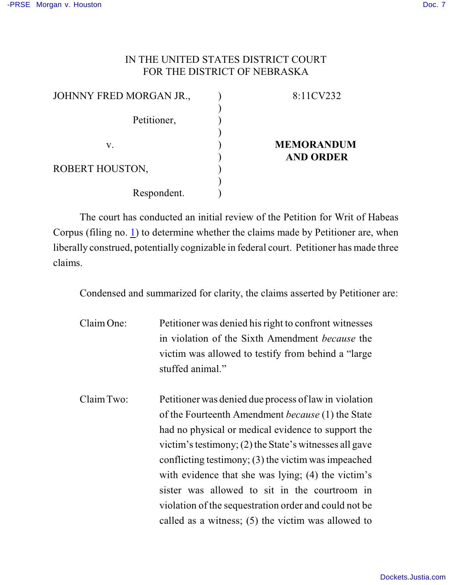## IN THE UNITED STATES DISTRICT COURT FOR THE DISTRICT OF NEBRASKA

| JOHNNY FRED MORGAN JR., | 8:11CV232         |
|-------------------------|-------------------|
|                         |                   |
| Petitioner,             |                   |
|                         |                   |
| V.                      | <b>MEMORANDUM</b> |
|                         | <b>AND ORDER</b>  |
| ROBERT HOUSTON,         |                   |
|                         |                   |
| Respondent.             |                   |

The court has conducted an initial review of the Petition for Writ of Habeas Corpus (filing no. [1](http://ecf.ned.uscourts.gov/doc1/11302301136)) to determine whether the claims made by Petitioner are, when liberally construed, potentially cognizable in federal court. Petitioner has made three claims.

Condensed and summarized for clarity, the claims asserted by Petitioner are:

- Claim One: Petitioner was denied his right to confront witnesses in violation of the Sixth Amendment *because* the victim was allowed to testify from behind a "large stuffed animal."
- Claim Two: Petitioner was denied due process of law in violation of the Fourteenth Amendment *because* (1) the State had no physical or medical evidence to support the victim's testimony;  $(2)$  the State's witnesses all gave conflicting testimony; (3) the victim was impeached with evidence that she was lying; (4) the victim's sister was allowed to sit in the courtroom in violation of the sequestration order and could not be called as a witness; (5) the victim was allowed to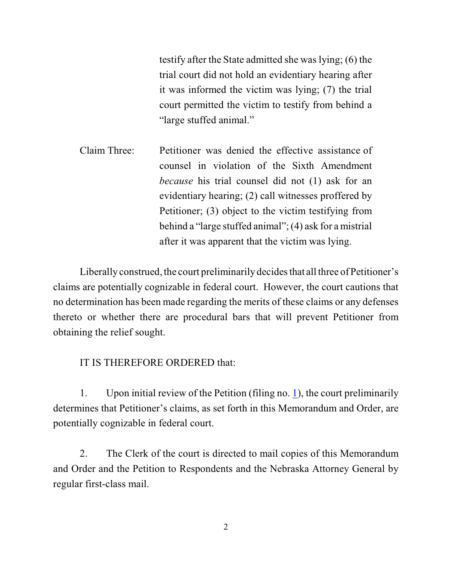testify after the State admitted she was lying; (6) the trial court did not hold an evidentiary hearing after it was informed the victim was lying; (7) the trial court permitted the victim to testify from behind a "large stuffed animal."

Claim Three: Petitioner was denied the effective assistance of counsel in violation of the Sixth Amendment *because* his trial counsel did not (1) ask for an evidentiary hearing; (2) call witnesses proffered by Petitioner; (3) object to the victim testifying from behind a "large stuffed animal"; (4) ask for a mistrial after it was apparent that the victim was lying.

Liberally construed, the court preliminarily decides that all three of Petitioner's claims are potentially cognizable in federal court. However, the court cautions that no determination has been made regarding the merits of these claims or any defenses thereto or whether there are procedural bars that will prevent Petitioner from obtaining the relief sought.

## IT IS THEREFORE ORDERED that:

1. Upon initial review of the Petition (filing no. [1](http://ecf.ned.uscourts.gov/doc1/11302301136)), the court preliminarily determines that Petitioner's claims, as set forth in this Memorandum and Order, are potentially cognizable in federal court.

2. The Clerk of the court is directed to mail copies of this Memorandum and Order and the Petition to Respondents and the Nebraska Attorney General by regular first-class mail.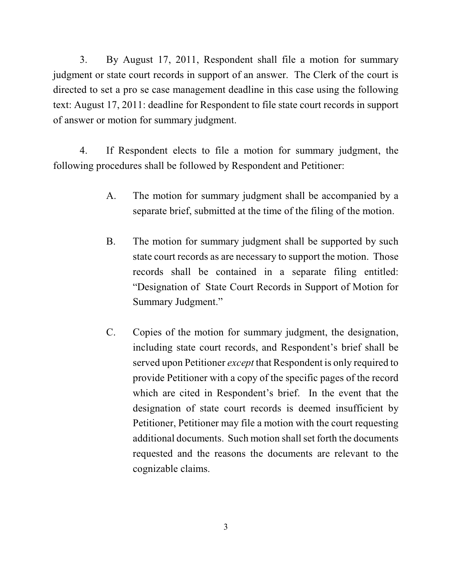3. By August 17, 2011, Respondent shall file a motion for summary judgment or state court records in support of an answer. The Clerk of the court is directed to set a pro se case management deadline in this case using the following text: August 17, 2011: deadline for Respondent to file state court records in support of answer or motion for summary judgment.

4. If Respondent elects to file a motion for summary judgment, the following procedures shall be followed by Respondent and Petitioner:

- A. The motion for summary judgment shall be accompanied by a separate brief, submitted at the time of the filing of the motion.
- B. The motion for summary judgment shall be supported by such state court records as are necessary to support the motion. Those records shall be contained in a separate filing entitled: "Designation of State Court Records in Support of Motion for Summary Judgment."
- C. Copies of the motion for summary judgment, the designation, including state court records, and Respondent's brief shall be served upon Petitioner *except* that Respondent is only required to provide Petitioner with a copy of the specific pages of the record which are cited in Respondent's brief. In the event that the designation of state court records is deemed insufficient by Petitioner, Petitioner may file a motion with the court requesting additional documents. Such motion shall set forth the documents requested and the reasons the documents are relevant to the cognizable claims.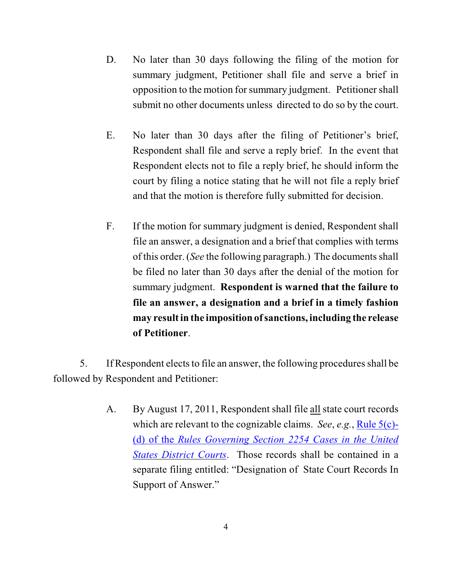- D. No later than 30 days following the filing of the motion for summary judgment, Petitioner shall file and serve a brief in opposition to the motion for summary judgment. Petitioner shall submit no other documents unless directed to do so by the court.
- E. No later than 30 days after the filing of Petitioner's brief, Respondent shall file and serve a reply brief. In the event that Respondent elects not to file a reply brief, he should inform the court by filing a notice stating that he will not file a reply brief and that the motion is therefore fully submitted for decision.
- F. If the motion for summary judgment is denied, Respondent shall file an answer, a designation and a brief that complies with terms of this order. (*See* the following paragraph.) The documents shall be filed no later than 30 days after the denial of the motion for summary judgment. **Respondent is warned that the failure to file an answer, a designation and a brief in a timely fashion may result in the imposition of sanctions, including the release of Petitioner**.

5. If Respondent elects to file an answer, the following proceduresshall be followed by Respondent and Petitioner:

> A. By August 17, 2011, Respondent shall file all state court records which are relevant to the cognizable claims. *See*, *e.g.*, [Rule 5\(c\)-](http://web2.westlaw.com/result/default.wl?tf=0&fn=_top&scxt=WL&crbp=0&mt=Westlaw&rs=WLW9.08&cite=SECT+Section+2254&jrtadvtype=0&cfid=1&action=DODIS&rpst=None&cxt=DC&vr=2.0&disrelpos=4&candisnum=1&sv=Split&cnt=DOC&disnav=NEXT&ss=CNT&service=Find&rlt=CLID_) (d) of the *Rules Governing Section [2254 Cases in the United](http://web2.westlaw.com/result/default.wl?tf=0&fn=_top&scxt=WL&crbp=0&mt=Westlaw&rs=WLW9.08&cite=SECT+Section+2254&jrtadvtype=0&cfid=1&action=DODIS&rpst=None&cxt=DC&vr=2.0&disrelpos=4&candisnum=1&sv=Split&cnt=DOC&disnav=NEXT&ss=CNT&service=Find&rlt=CLID_) [States District Courts](http://web2.westlaw.com/result/default.wl?tf=0&fn=_top&scxt=WL&crbp=0&mt=Westlaw&rs=WLW9.08&cite=SECT+Section+2254&jrtadvtype=0&cfid=1&action=DODIS&rpst=None&cxt=DC&vr=2.0&disrelpos=4&candisnum=1&sv=Split&cnt=DOC&disnav=NEXT&ss=CNT&service=Find&rlt=CLID_)*. Those records shall be contained in a separate filing entitled: "Designation of State Court Records In Support of Answer."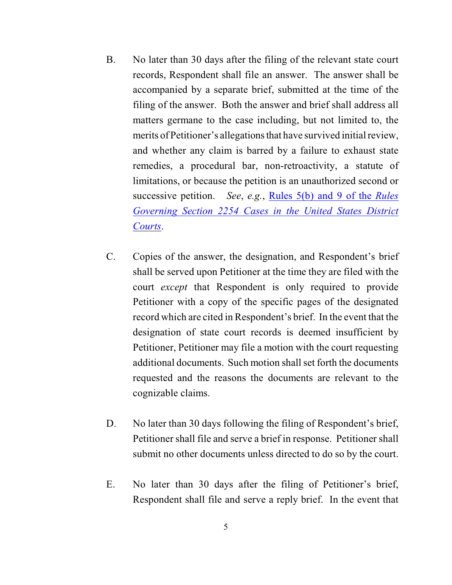- B. No later than 30 days after the filing of the relevant state court records, Respondent shall file an answer. The answer shall be accompanied by a separate brief, submitted at the time of the filing of the answer. Both the answer and brief shall address all matters germane to the case including, but not limited to, the merits of Petitioner's allegations that have survived initial review, and whether any claim is barred by a failure to exhaust state remedies, a procedural bar, non-retroactivity, a statute of limitations, or because the petition is an unauthorized second or successive petition. *See*, *e.g.*, [Rules 5\(b\) and](http://web2.westlaw.com/result/default.wl?tf=0&fn=_top&scxt=WL&crbp=0&mt=Westlaw&rs=WLW9.08&cite=SECT+Section+2254&jrtadvtype=0&cfid=1&action=DODIS&rpst=None&cxt=DC&vr=2.0&disrelpos=4&candisnum=1&sv=Split&cnt=DOC&disnav=NEXT&ss=CNT&service=Find&rlt=CLID_) 9 of the *Rules [Governing Section 2254 Cases in the United States District](http://web2.westlaw.com/result/default.wl?tf=0&fn=_top&scxt=WL&crbp=0&mt=Westlaw&rs=WLW9.08&cite=SECT+Section+2254&jrtadvtype=0&cfid=1&action=DODIS&rpst=None&cxt=DC&vr=2.0&disrelpos=4&candisnum=1&sv=Split&cnt=DOC&disnav=NEXT&ss=CNT&service=Find&rlt=CLID_) [Courts](http://web2.westlaw.com/result/default.wl?tf=0&fn=_top&scxt=WL&crbp=0&mt=Westlaw&rs=WLW9.08&cite=SECT+Section+2254&jrtadvtype=0&cfid=1&action=DODIS&rpst=None&cxt=DC&vr=2.0&disrelpos=4&candisnum=1&sv=Split&cnt=DOC&disnav=NEXT&ss=CNT&service=Find&rlt=CLID_)*.
- C. Copies of the answer, the designation, and Respondent's brief shall be served upon Petitioner at the time they are filed with the court *except* that Respondent is only required to provide Petitioner with a copy of the specific pages of the designated record which are cited in Respondent's brief. In the event that the designation of state court records is deemed insufficient by Petitioner, Petitioner may file a motion with the court requesting additional documents. Such motion shall set forth the documents requested and the reasons the documents are relevant to the cognizable claims.
- D. No later than 30 days following the filing of Respondent's brief, Petitioner shall file and serve a brief in response. Petitioner shall submit no other documents unless directed to do so by the court.
- E. No later than 30 days after the filing of Petitioner's brief, Respondent shall file and serve a reply brief. In the event that